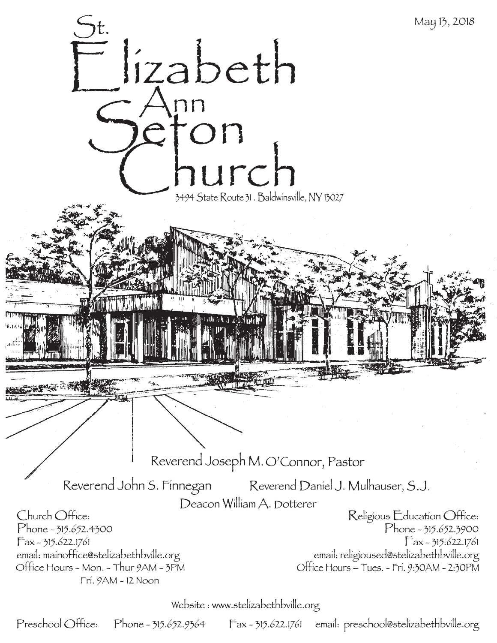

Website: www.stelizabethbville.org

Preschool Office: Phone - 315.652.9364 Fax - 315.622.1761 email: preschool@stelizabethbville.org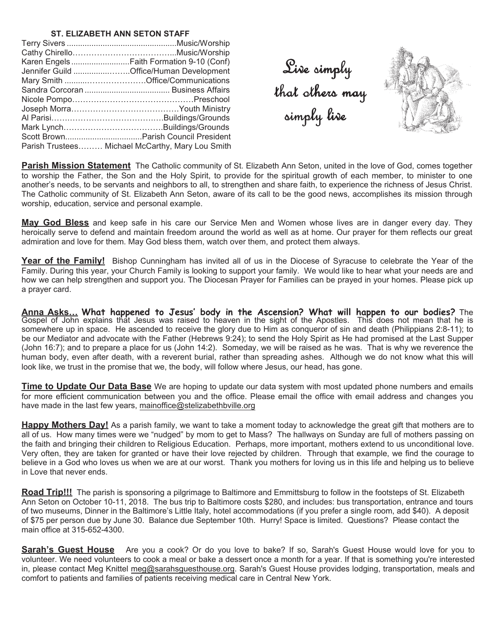## **ST. ELIZABETH ANN SETON STAFF**

| Karen EngelsFaith Formation 9-10 (Conf)          |
|--------------------------------------------------|
| Jennifer Guild Office/Human Development          |
|                                                  |
|                                                  |
|                                                  |
|                                                  |
|                                                  |
|                                                  |
|                                                  |
| Parish Trustees Michael McCarthy, Mary Lou Smith |

Live simply that others may simply live



**Parish Mission Statement** The Catholic community of St. Elizabeth Ann Seton, united in the love of God, comes together to worship the Father, the Son and the Holy Spirit, to provide for the spiritual growth of each member, to minister to one another's needs, to be servants and neighbors to all, to strengthen and share faith, to experience the richness of Jesus Christ. The Catholic community of St. Elizabeth Ann Seton, aware of its call to be the good news, accomplishes its mission through worship, education, service and personal example.

**May God Bless** and keep safe in his care our Service Men and Women whose lives are in danger every day. They heroically serve to defend and maintain freedom around the world as well as at home. Our prayer for them reflects our great admiration and love for them. May God bless them, watch over them, and protect them always.

Year of the Family! Bishop Cunningham has invited all of us in the Diocese of Syracuse to celebrate the Year of the Family. During this year, your Church Family is looking to support your family. We would like to hear what your needs are and how we can help strengthen and support you. The Diocesan Prayer for Families can be prayed in your homes. Please pick up a prayer card.

**Anna Asks# What happened to Jesus' body in the Ascension? What will happen to our bodies?** The Gospel of John explains that Jesus was raised to heaven in the sight of the Apostles. This does not mean that he is somewhere up in space. He ascended to receive the glory due to Him as conqueror of sin and death (Philippians 2:8-11); to be our Mediator and advocate with the Father (Hebrews 9:24); to send the Holy Spirit as He had promised at the Last Supper (John 16:7); and to prepare a place for us (John 14:2). Someday, we will be raised as he was. That is why we reverence the human body, even after death, with a reverent burial, rather than spreading ashes. Although we do not know what this will look like, we trust in the promise that we, the body, will follow where Jesus, our head, has gone.

**Time to Update Our Data Base** We are hoping to update our data system with most updated phone numbers and emails for more efficient communication between you and the office. Please email the office with email address and changes you have made in the last few years, mainoffice@stelizabethbville.org

**Happy Mothers Day!** As a parish family, we want to take a moment today to acknowledge the great gift that mothers are to all of us. How many times were we "nudged" by mom to get to Mass? The hallways on Sunday are full of mothers passing on the faith and bringing their children to Religious Education. Perhaps, more important, mothers extend to us unconditional love. Very often, they are taken for granted or have their love rejected by children. Through that example, we find the courage to believe in a God who loves us when we are at our worst. Thank you mothers for loving us in this life and helping us to believe in Love that never ends.

**Road Trip!!!** The parish is sponsoring a pilgrimage to Baltimore and Emmittsburg to follow in the footsteps of St. Elizabeth Ann Seton on October 10-11, 2018. The bus trip to Baltimore costs \$280, and includes: bus transportation, entrance and tours of two museums, Dinner in the Baltimore's Little Italy, hotel accommodations (if you prefer a single room, add \$40). A deposit of \$75 per person due by June 30. Balance due September 10th. Hurry! Space is limited. Questions? Please contact the main office at 315-652-4300.

**Sarah's Guest House** Are you a cook? Or do you love to bake? If so, Sarah's Guest House would love for you to volunteer. We need volunteers to cook a meal or bake a dessert once a month for a year. If that is something you're interested in, please contact Meg Knittel meg@sarahsguesthouse.org. Sarah's Guest House provides lodging, transportation, meals and comfort to patients and families of patients receiving medical care in Central New York.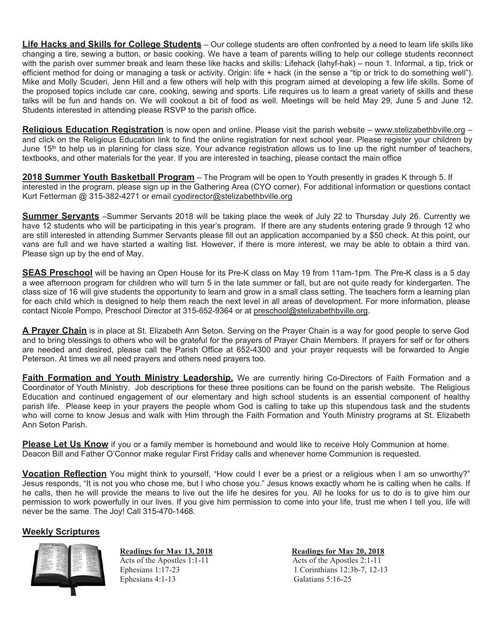**Life Hacks and Skills for College Students** – Our college students are often confronted by a need to learn life skills like changing a tire, sewing a button, or basic cooking. We have a team of parents willing to help our college students reconnect with the parish over summer break and learn these like hacks and skills: Lifehack (lahyf-hak) – noun 1. Informal, a tip, trick or efficient method for doing or managing a task or activity. Origin: life + hack (in the sense a "tip or trick to do something well"). Mike and Molly Scuderi, Jenn Hill and a few others will help with this program aimed at developing a few life skills. Some of the proposed topics include car care, cooking, sewing and sports. Life requires us to learn a great variety of skills and these talks will be fun and hands on. We will cookout a bit of food as well. Meetings will be held May 29, June 5 and June 12. Students interested in attending please RSVP to the parish office.

**Religious Education Registration** is now open and online. Please visit the parish website – www.stelizabethbville.org – and click on the Religious Education link to find the online registration for next school year. Please register your children by June 15<sup>th</sup> to help us in planning for class size. Your advance registration allows us to line up the right number of teachers, textbooks, and other materials for the year. If you are interested in teaching, please contact the main office

**2018 Summer Youth Basketball Program** – The Program will be open to Youth presently in grades K through 5. If interested in the program, please sign up in the Gathering Area (CYO corner). For additional information or questions contact Kurt Fetterman @ 315-382-4271 or email cyodirector@stelizabethbville.org

**Summer Servants** –Summer Servants 2018 will be taking place the week of July 22 to Thursday July 26. Currently we have 12 students who will be participating in this year's program. If there are any students entering grade 9 through 12 who are still interested in attending Summer Servants please fill out an application accompanied by a \$50 check. At this point, our vans are full and we have started a waiting list. However, if there is more interest, we may be able to obtain a third van. Please sign up by the end of May.

**SEAS Preschool** will be having an Open House for its Pre-K class on May 19 from 11am-1pm. The Pre-K class is a 5 day a wee afternoon program for children who will turn 5 in the late summer or fall, but are not quite ready for kindergarten. The class size of 16 will give students the opportunity to learn and grow in a small class setting. The teachers form a learning plan for each child which is designed to help them reach the next level in all areas of development. For more information, please contact Nicole Pompo, Preschool Director at 315-652-9364 or at preschool@stelizabethbville.org.

**A Prayer Chain** is in place at St. Elizabeth Ann Seton. Serving on the Prayer Chain is a way for good people to serve God and to bring blessings to others who will be grateful for the prayers of Prayer Chain Members. If prayers for self or for others are needed and desired, please call the Parish Office at 652-4300 and your prayer requests will be forwarded to Angie Peterson. At times we all need prayers and others need prayers too.

**Faith Formation and Youth Ministry Leadership.** We are currently hiring Co-Directors of Faith Formation and a Coordinator of Youth Ministry. Job descriptions for these three positions can be found on the parish website. The Religious Education and continued engagement of our elementary and high school students is an essential component of healthy parish life. Please keep in your prayers the people whom God is calling to take up this stupendous task and the students who will come to know Jesus and walk with Him through the Faith Formation and Youth Ministry programs at St. Elizabeth Ann Seton Parish.

**Please Let Us Know** if you or a family member is homebound and would like to receive Holy Communion at home. Deacon Bill and Father O'Connor make regular First Friday calls and whenever home Communion is requested.

**Vocation Reflection** You might think to yourself, "How could I ever be a priest or a religious when I am so unworthy?" Jesus responds, "It is not you who chose me, but I who chose you." Jesus knows exactly whom he is calling when he calls. If he calls, then he will provide the means to live out the life he desires for you. All he looks for us to do is to give him our permission to work powerfully in our lives. If you give him permission to come into your life, trust me when I tell you, life will never be the same. The Joy! Call 315-470-1468.

# **Weekly Scriptures**



Acts of the Apostles 1:1-11 Acts of the Apostles 2:1-11

**Readings for May 13, 2018 Readings for May 20, 2018** Ephesians 1:17-23<br>
Ephesians 4:1-13<br>
Galatians 5:16-25<br>
Galatians 5:16-25 Galatians  $5:16-25$